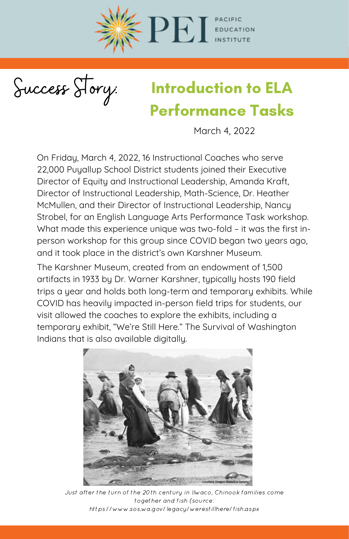

Success Story:

## Introduction to ELA Performance Tasks

March 4, 2022

On Friday, March 4, 2022, 16 Instructional Coaches who serve 22,000 Puyallup School District students joined their Executive Director of Equity and Instructional Leadership, Amanda Kraft, Director of Instructional Leadership, Math-Science, Dr. Heather McMullen, and their Director of Instructional Leadership, Nancy Strobel, for an English Language Arts Performance Task workshop. What made this experience unique was two-fold – it was the first inperson workshop for this group since COVID began two years ago, and it took place in the district's own Karshner Museum.

The Karshner Museum, created from an endowment of 1,500 artifacts in 1933 by Dr. Warner Karshner, typically hosts 190 field trips a year and holds both long-term and temporary exhibits. While COVID has heavily impacted in-person field trips for students, our visit allowed the coaches to explore the exhibits, including a temporary exhibit, "We're Still Here." The Survival of Washington Indians that is also available digitally.



Just after the turn of the 20th century in Ilwaco, Chinook families come together and fish (source: https://www.sos.wa.gov/legacy/werestillhere/fish.aspx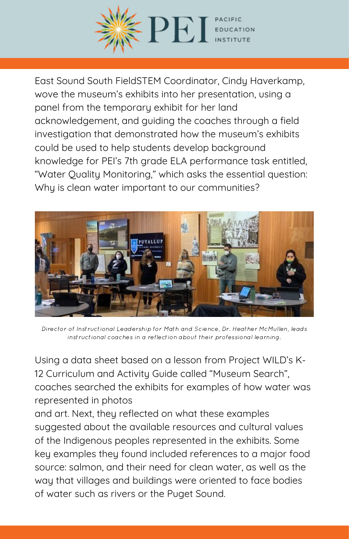

East Sound South FieldSTEM Coordinator, Cindy Haverkamp, wove the museum's exhibits into her presentation, using a panel from the temporary exhibit for her land acknowledgement, and guiding the coaches through a field investigation that demonstrated how the museum's exhibits could be used to help students develop background knowledge for PEI's 7th grade ELA performance task entitled, "Water Quality Monitoring," which asks the essential question: Why is clean water important to our communities?



Director of Instructional Leadership for Math and Science, Dr. Heather McMullen, leads instructional coaches in a reflection about their professional learning.

Using a data sheet based on a lesson from Project WILD's K-12 Curriculum and Activity Guide called "Museum Search", coaches searched the exhibits for examples of how water was represented in photos

and art. Next, they reflected on what these examples suggested about the available resources and cultural values of the Indigenous peoples represented in the exhibits. Some key examples they found included references to a major food source: salmon, and their need for clean water, as well as the way that villages and buildings were oriented to face bodies of water such as rivers or the Puget Sound.